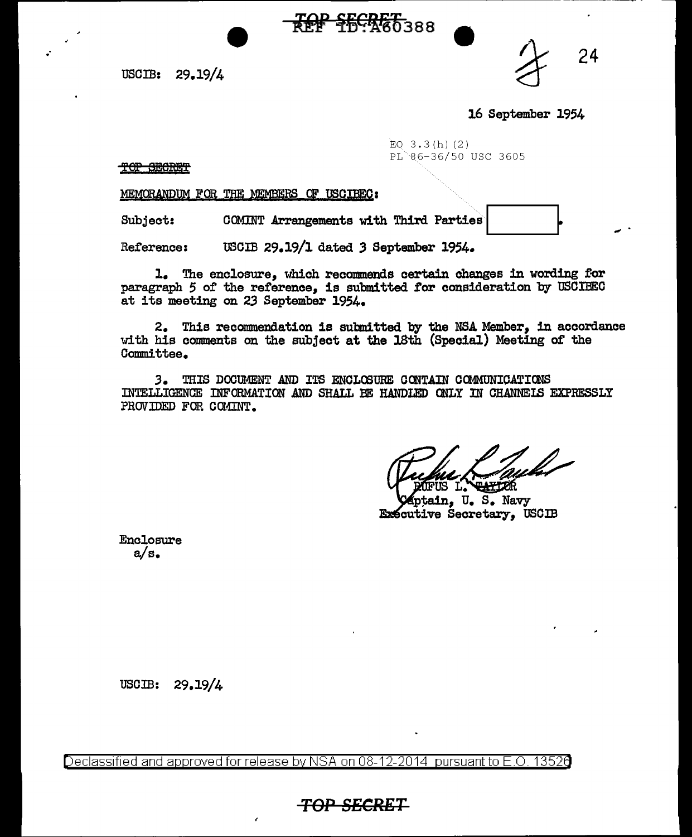USCIB: 29.19/4

24

16 September 1954

EQ  $3.3(h)(2)$ PL 86-36/50 USC 3605

TOP SECRET

.·

MEMORANDUM FOR THE MEMBERS OF USCIBEC:

Subject: COMINT Arrangements with Third Parties

----------------------~---------------~- -

<del>TOP SECRET.</del><br>T<del>OP SECRET</del>388

Reference: USCIB 29.19/l dated *3* September 1954.

1. The enclosure, which recommends certain changes in wording for paragraph 5 of the reference, is submitted for consideration by USCIBEC at its meeting on 23 September 1954.

2. This reconnnendation is subnitted by the NSA Member, in accordance with his comments on the subject at the 18th (Special) Meeting of the Committee.

3. THIS DOCUMENT AND ITS ENCLOSURE CONTAIN COMMUNICATIONS INTELLIGENCE INFORMATION AND SHALL BE HANDLED ONLY IN CHANNEIS EXPRESSLY PROVIDED FOR COMINT.

**E.1.770R** 

tain, U. S. Navy **Exécutive Secretary, USCIB** 

Enclosure a/s.

USCIB: 29.19/4

Declassified and approved for release by NSA on 08-12-2014  $\,$  pursuant to E.O. 1352 $6$ 

*TOP* **SECRET**